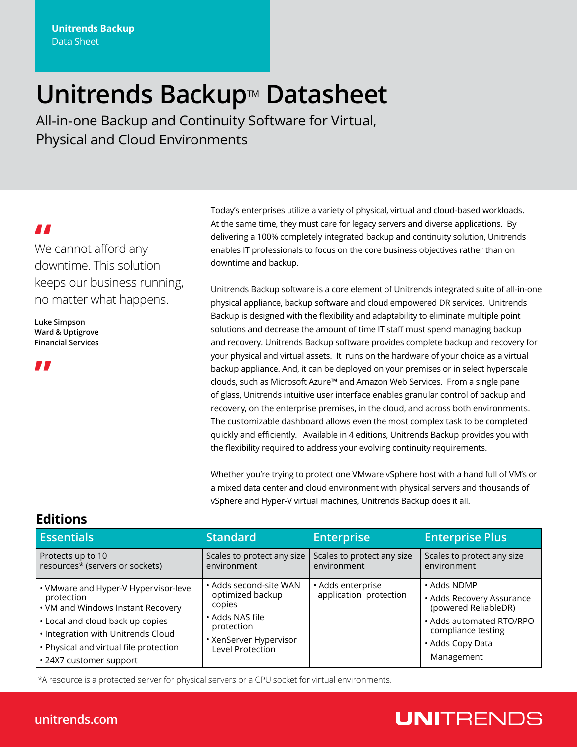# **Unitrends Backup**™ **Datasheet**

All-in-one Backup and Continuity Software for Virtual, Physical and Cloud Environments

**"** We cannot afford any downtime. This solution keeps our business running, no matter what happens.

**Luke Simpson Ward & Uptigrove Financial Services**

**"**

Today's enterprises utilize a variety of physical, virtual and cloud-based workloads. At the same time, they must care for legacy servers and diverse applications. By delivering a 100% completely integrated backup and continuity solution, Unitrends enables IT professionals to focus on the core business objectives rather than on downtime and backup.

Unitrends Backup software is a core element of Unitrends integrated suite of all-in-one physical appliance, backup software and cloud empowered DR services. Unitrends Backup is designed with the flexibility and adaptability to eliminate multiple point solutions and decrease the amount of time IT staff must spend managing backup and recovery. Unitrends Backup software provides complete backup and recovery for your physical and virtual assets. It runs on the hardware of your choice as a virtual backup appliance. And, it can be deployed on your premises or in select hyperscale clouds, such as Microsoft Azure™ and Amazon Web Services. From a single pane of glass, Unitrends intuitive user interface enables granular control of backup and recovery, on the enterprise premises, in the cloud, and across both environments. The customizable dashboard allows even the most complex task to be completed quickly and efficiently. Available in 4 editions, Unitrends Backup provides you with the flexibility required to address your evolving continuity requirements.

Whether you're trying to protect one VMware vSphere host with a hand full of VM's or a mixed data center and cloud environment with physical servers and thousands of vSphere and Hyper-V virtual machines, Unitrends Backup does it all.

| <b>Essentials</b>                                                                                                                                                                                                                       | <b>Standard</b>                                                                                                                     | <b>Enterprise</b>                           | <b>Enterprise Plus</b>                                                                                                                               |
|-----------------------------------------------------------------------------------------------------------------------------------------------------------------------------------------------------------------------------------------|-------------------------------------------------------------------------------------------------------------------------------------|---------------------------------------------|------------------------------------------------------------------------------------------------------------------------------------------------------|
| Protects up to 10<br>resources* (servers or sockets)                                                                                                                                                                                    | Scales to protect any size<br>environment                                                                                           | Scales to protect any size<br>environment   | Scales to protect any size<br>environment                                                                                                            |
| • VMware and Hyper-V Hypervisor-level<br>protection<br>• VM and Windows Instant Recovery<br>• Local and cloud back up copies<br>· Integration with Unitrends Cloud<br>• Physical and virtual file protection<br>• 24X7 customer support | • Adds second-site WAN<br>optimized backup<br>copies<br>• Adds NAS file<br>protection<br>• XenServer Hypervisor<br>Level Protection | • Adds enterprise<br>application protection | • Adds NDMP<br>• Adds Recovery Assurance<br>(powered ReliableDR)<br>· Adds automated RTO/RPO<br>compliance testing<br>• Adds Copy Data<br>Management |

\*A resource is a protected server for physical servers or a CPU socket for virtual environments.

### **Editions**

## **UNITRENDS**

### **unitrends.com**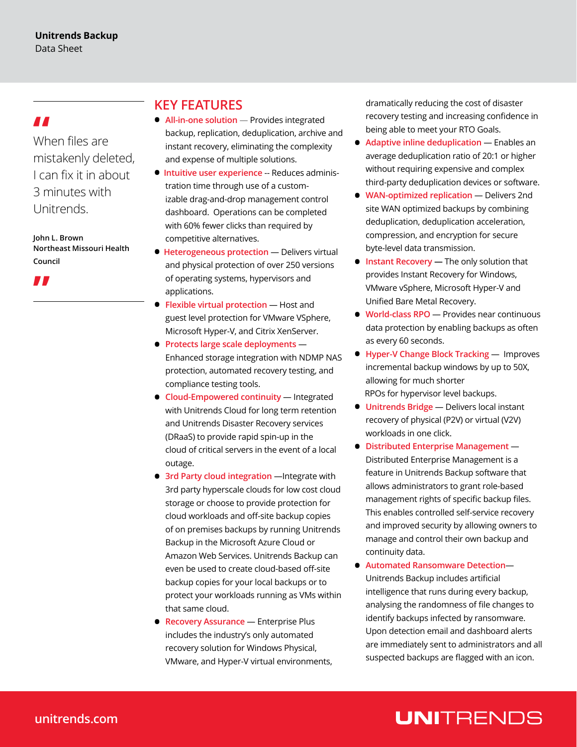**"** When files are mistakenly deleted, I can fix it in about 3 minutes with Unitrends.

**John L. Brown Northeast Missouri Health Council**



### **KEY FEATURES**

- **All-in-one solution** Provides integrated backup, replication, deduplication, archive and instant recovery, eliminating the complexity and expense of multiple solutions.
- **Intuitive user experience** -- Reduces administration time through use of a customizable drag-and-drop management control dashboard. Operations can be completed with 60% fewer clicks than required by competitive alternatives.
- **Heterogeneous protection**  Delivers virtual and physical protection of over 250 versions of operating systems, hypervisors and applications.
- **Flexible virtual protection**  Host and guest level protection for VMware VSphere, Microsoft Hyper-V, and Citrix XenServer.
- **Protects large scale deployments**  Enhanced storage integration with NDMP NAS protection, automated recovery testing, and compliance testing tools.
- **Cloud-Empowered continuity Integrated** with Unitrends Cloud for long term retention and Unitrends Disaster Recovery services (DRaaS) to provide rapid spin-up in the cloud of critical servers in the event of a local outage.
- **3rd Party cloud integration** —Integrate with 3rd party hyperscale clouds for low cost cloud storage or choose to provide protection for cloud workloads and off-site backup copies of on premises backups by running Unitrends Backup in the Microsoft Azure Cloud or Amazon Web Services. Unitrends Backup can even be used to create cloud-based off-site backup copies for your local backups or to protect your workloads running as VMs within that same cloud.
- **Recovery Assurance**  Enterprise Plus includes the industry's only automated recovery solution for Windows Physical, VMware, and Hyper-V virtual environments,

dramatically reducing the cost of disaster recovery testing and increasing confidence in being able to meet your RTO Goals.

- **•** Adaptive inline deduplication Enables an average deduplication ratio of 20:1 or higher without requiring expensive and complex third-party deduplication devices or software.
- **WAN-optimized replication**  Delivers 2nd site WAN optimized backups by combining deduplication, deduplication acceleration, compression, and encryption for secure byte-level data transmission.
- **• Instant Recovery** The only solution that provides Instant Recovery for Windows, VMware vSphere, Microsoft Hyper-V and Unified Bare Metal Recovery.
- **World-class RPO**  Provides near continuous data protection by enabling backups as often as every 60 seconds.
- **Hyper-V Change Block Tracking**  Improves incremental backup windows by up to 50X, allowing for much shorter RPOs for hypervisor level backups.
- **Unitrends Bridge**  Delivers local instant recovery of physical (P2V) or virtual (V2V) workloads in one click.
- **Distributed Enterprise Management**  Distributed Enterprise Management is a feature in Unitrends Backup software that allows administrators to grant role-based management rights of specific backup files. This enables controlled self-service recovery and improved security by allowing owners to manage and control their own backup and continuity data.
- **Automated Ransomware Detection** Unitrends Backup includes artificial intelligence that runs during every backup, analysing the randomness of file changes to identify backups infected by ransomware. Upon detection email and dashboard alerts are immediately sent to administrators and all suspected backups are flagged with an icon.

## **UNITRENDS**

### **unitrends.com**